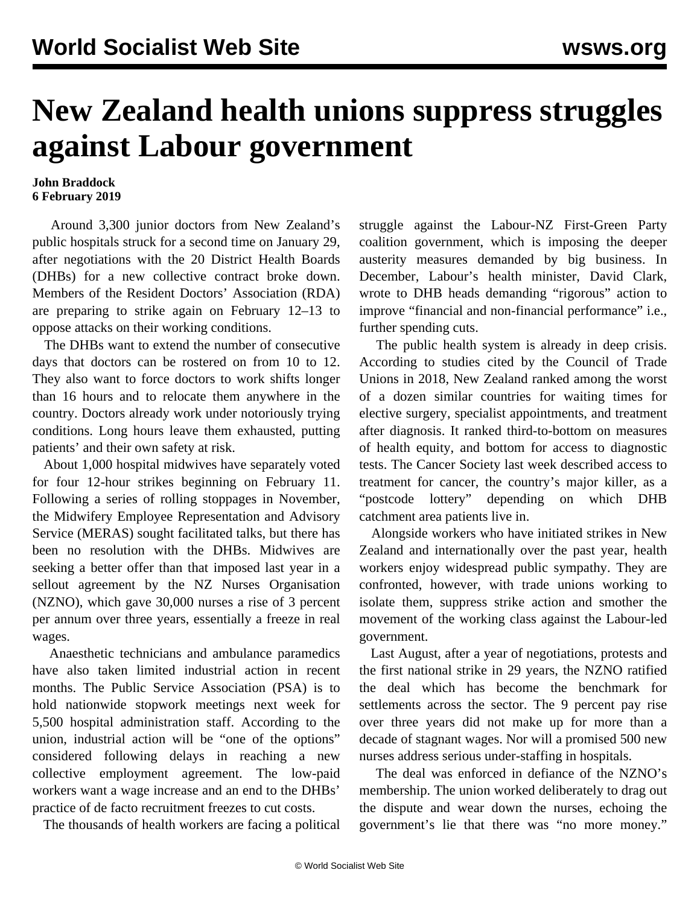## **New Zealand health unions suppress struggles against Labour government**

## **John Braddock 6 February 2019**

 Around 3,300 junior doctors from New Zealand's public hospitals [struck](/en/articles/2019/01/30/nzdo-j30.html) for a second time on January 29, after negotiations with the 20 District Health Boards (DHBs) for a new collective contract broke down. Members of the Resident Doctors' Association (RDA) are preparing to strike again on February 12–13 to oppose attacks on their working conditions.

 The DHBs want to extend the number of consecutive days that doctors can be rostered on from 10 to 12. They also want to force doctors to work shifts longer than 16 hours and to relocate them anywhere in the country. Doctors already work under notoriously trying conditions. Long hours leave them exhausted, putting patients' and their own safety at risk.

 About 1,000 hospital midwives have separately voted for four 12-hour strikes beginning on February 11. Following a series of rolling stoppages in November, the Midwifery Employee Representation and Advisory Service (MERAS) sought facilitated talks, but there has been no resolution with the DHBs. Midwives are seeking a better offer than that imposed last year in a [sellout agreement](/en/articles/2018/08/18/nzno-a18.html) by the NZ Nurses Organisation (NZNO), which gave 30,000 nurses a rise of 3 percent per annum over three years, essentially a freeze in real wages.

 Anaesthetic technicians and ambulance paramedics have also taken limited industrial action in recent months. The Public Service Association (PSA) is to hold nationwide stopwork meetings next week for 5,500 hospital administration staff. According to the union, industrial action will be "one of the options" considered following delays in reaching a new collective employment agreement. The low-paid workers want a wage increase and an end to the DHBs' practice of de facto recruitment freezes to cut costs.

The thousands of health workers are facing a political

struggle against the Labour-NZ First-Green Party coalition government, which is imposing the deeper austerity measures demanded by big business. In December, Labour's health minister, David Clark, wrote to DHB heads demanding "rigorous" action to improve "financial and non-financial performance" i.e., further spending cuts.

 The public health system is already in deep crisis. According to studies cited by the Council of Trade Unions in 2018, New Zealand ranked among the worst of a dozen similar countries for waiting times for elective surgery, specialist appointments, and treatment after diagnosis. It ranked third-to-bottom on measures of health equity, and bottom for access to diagnostic tests. The Cancer Society last week described access to treatment for cancer, the country's major killer, as a "postcode lottery" depending on which DHB catchment area patients live in.

 Alongside workers who have initiated [strikes](/en/articles/2019/01/30/nurs-j30.html) in New Zealand and internationally over the past year, health workers enjoy widespread public sympathy. They are confronted, however, with trade unions working to isolate them, suppress strike action and smother the movement of the working class against the Labour-led government.

 Last August, after a year of negotiations, protests and the first national strike in 29 years, the NZNO ratified the deal which has become the benchmark for settlements across the sector. The 9 percent pay rise over three years did not make up for more than a decade of stagnant wages. Nor will a promised 500 new nurses address serious under-staffing in hospitals.

 The deal was enforced in defiance of the NZNO's membership. The union worked deliberately to drag out the dispute and wear down the nurses, echoing the government's lie that there was "no more money."